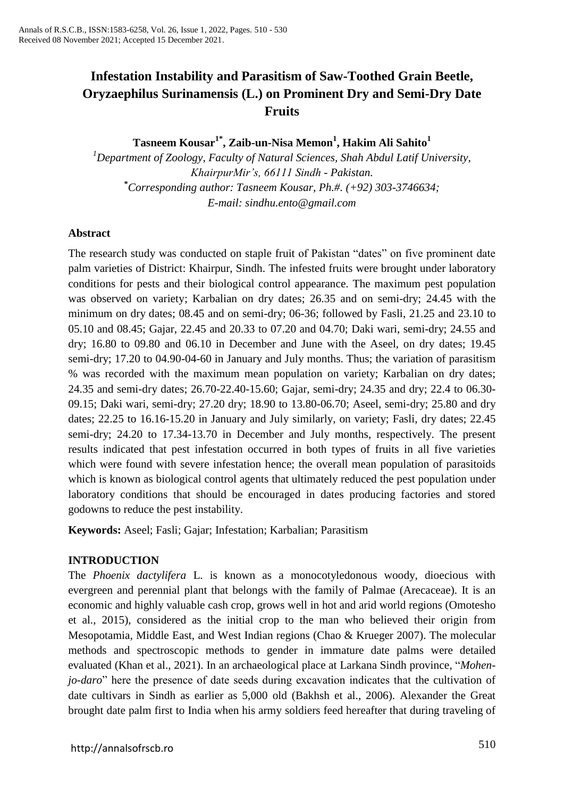# **Infestation Instability and Parasitism of Saw-Toothed Grain Beetle, Oryzaephilus Surinamensis (L.) on Prominent Dry and Semi-Dry Date Fruits**

**Tasneem Kousar1\* , Zaib-un-Nisa Memon<sup>1</sup> , Hakim Ali Sahito<sup>1</sup>**

*<sup>1</sup>Department of Zoology, Faculty of Natural Sciences, Shah Abdul Latif University, KhairpurMir's, 66111 Sindh - Pakistan.* **\****Corresponding author: Tasneem Kousar, Ph.#. (+92) 303-3746634; E-mail: [sindhu.ento@gmail.com](mailto:sindhu.ento@gmail.com)*

# **Abstract**

The research study was conducted on staple fruit of Pakistan "dates" on five prominent date palm varieties of District: Khairpur, Sindh. The infested fruits were brought under laboratory conditions for pests and their biological control appearance. The maximum pest population was observed on variety; Karbalian on dry dates; 26.35 and on semi-dry; 24.45 with the minimum on dry dates; 08.45 and on semi-dry; 06-36; followed by Fasli, 21.25 and 23.10 to 05.10 and 08.45; Gajar, 22.45 and 20.33 to 07.20 and 04.70; Daki wari, semi-dry; 24.55 and dry; 16.80 to 09.80 and 06.10 in December and June with the Aseel, on dry dates; 19.45 semi-dry; 17.20 to 04.90-04-60 in January and July months. Thus; the variation of parasitism % was recorded with the maximum mean population on variety; Karbalian on dry dates; 24.35 and semi-dry dates; 26.70-22.40-15.60; Gajar, semi-dry; 24.35 and dry; 22.4 to 06.30- 09.15; Daki wari, semi-dry; 27.20 dry; 18.90 to 13.80-06.70; Aseel, semi-dry; 25.80 and dry dates; 22.25 to 16.16-15.20 in January and July similarly, on variety; Fasli, dry dates; 22.45 semi-dry; 24.20 to 17.34-13.70 in December and July months, respectively. The present results indicated that pest infestation occurred in both types of fruits in all five varieties which were found with severe infestation hence; the overall mean population of parasitoids which is known as biological control agents that ultimately reduced the pest population under laboratory conditions that should be encouraged in dates producing factories and stored godowns to reduce the pest instability.

**Keywords:** Aseel; Fasli; Gajar; Infestation; Karbalian; Parasitism

# **INTRODUCTION**

The *Phoenix dactylifera* L. is known as a monocotyledonous woody, dioecious with evergreen and perennial plant that belongs with the family of Palmae (Arecaceae). It is an economic and highly valuable cash crop, grows well in hot and arid world regions (Omotesho et al., 2015), considered as the initial crop to the man who believed their origin from Mesopotamia, Middle East, and West Indian regions (Chao & Krueger 2007). The molecular methods and spectroscopic methods to gender in immature date palms were detailed evaluated (Khan et al., 2021). In an archaeological place at Larkana Sindh province, "*Mohenjo-daro*" here the presence of date seeds during excavation indicates that the cultivation of date cultivars in Sindh as earlier as 5,000 old (Bakhsh et al., 2006). Alexander the Great brought date palm first to India when his army soldiers feed hereafter that during traveling of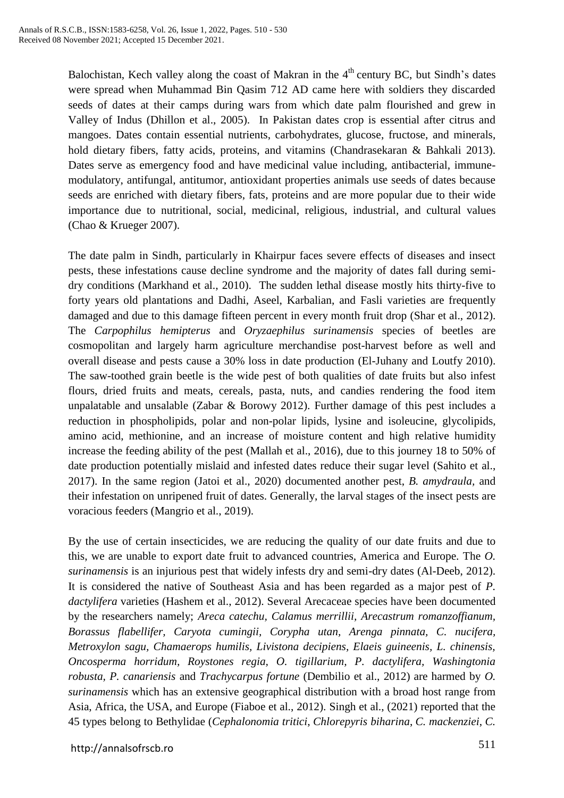Balochistan, Kech valley along the coast of Makran in the  $4<sup>th</sup>$  century BC, but Sindh's dates were spread when Muhammad Bin Qasim 712 AD came here with soldiers they discarded seeds of dates at their camps during wars from which date palm flourished and grew in Valley of Indus (Dhillon et al., 2005). In Pakistan dates crop is essential after citrus and mangoes. Dates contain essential nutrients, carbohydrates, glucose, fructose, and minerals, hold dietary fibers, fatty acids, proteins, and vitamins (Chandrasekaran & Bahkali 2013). Dates serve as emergency food and have medicinal value including, antibacterial, immunemodulatory, antifungal, antitumor, antioxidant properties animals use seeds of dates because seeds are enriched with dietary fibers, fats, proteins and are more popular due to their wide importance due to nutritional, social, medicinal, religious, industrial, and cultural values (Chao & Krueger 2007).

The date palm in Sindh, particularly in Khairpur faces severe effects of diseases and insect pests, these infestations cause decline syndrome and the majority of dates fall during semidry conditions (Markhand et al., 2010). The sudden lethal disease mostly hits thirty-five to forty years old plantations and Dadhi, Aseel, Karbalian, and Fasli varieties are frequently damaged and due to this damage fifteen percent in every month fruit drop (Shar et al., 2012). The *Carpophilus hemipterus* and *Oryzaephilus surinamensis* species of beetles are cosmopolitan and largely harm agriculture merchandise post-harvest before as well and overall disease and pests cause a 30% loss in date production (El-Juhany and Loutfy 2010). The saw-toothed grain beetle is the wide pest of both qualities of date fruits but also infest flours, dried fruits and meats, cereals, pasta, nuts, and candies rendering the food item unpalatable and unsalable (Zabar & Borowy 2012). Further damage of this pest includes a reduction in phospholipids, polar and non-polar lipids, lysine and isoleucine, glycolipids, amino acid, methionine, and an increase of moisture content and high relative humidity increase the feeding ability of the pest (Mallah et al., 2016), due to this journey 18 to 50% of date production potentially mislaid and infested dates reduce their sugar level (Sahito et al., 2017). In the same region (Jatoi et al., 2020) documented another pest, *B. amydraula,* and their infestation on unripened fruit of dates. Generally, the larval stages of the insect pests are voracious feeders (Mangrio et al., 2019).

By the use of certain insecticides, we are reducing the quality of our date fruits and due to this, we are unable to export date fruit to advanced countries, America and Europe. The *O. surinamensis* is an injurious pest that widely infests dry and semi-dry dates (Al-Deeb, 2012). It is considered the native of Southeast Asia and has been regarded as a major pest of *P. dactylifera* varieties (Hashem et al., 2012). Several Arecaceae species have been documented by the researchers namely; *Areca catechu, Calamus merrillii, Arecastrum romanzoffianum, Borassus flabellifer, Caryota cumingii, Corypha utan, Arenga pinnata, C. nucifera, Metroxylon sagu, Chamaerops humilis, Livistona decipiens, Elaeis guineenis, L. chinensis, Oncosperma horridum, Roystones regia, O. tigillarium, P. dactylifera, Washingtonia robusta, P. canariensis* and *Trachycarpus fortune* (Dembilio et al., 2012) are harmed by *O. surinamensis* which has an extensive geographical distribution with a broad host range from Asia, Africa, the USA, and Europe (Fiaboe et al., 2012). Singh et al., (2021) reported that the 45 types belong to Bethylidae (*Cephalonomia tritici*, *Chlorepyris biharina*, *C. mackenziei*, *C.*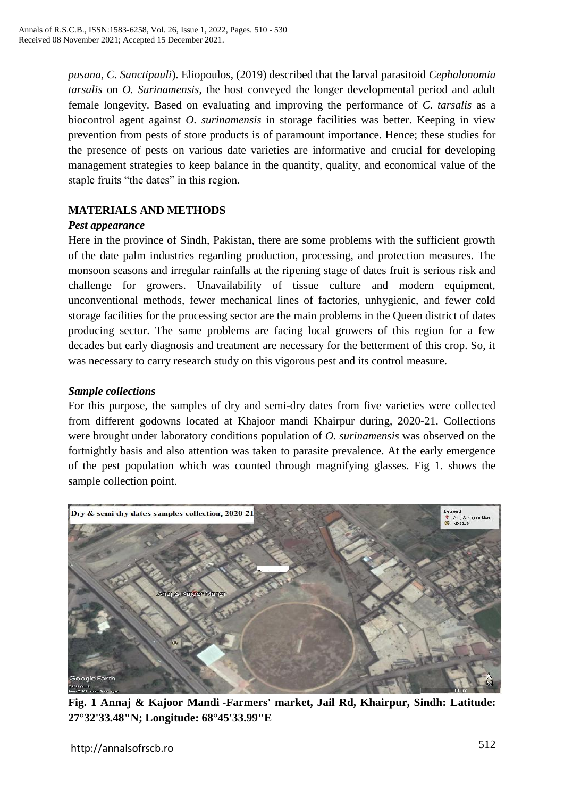*pusana*, *C. Sanctipauli*). Eliopoulos, (2019) described that the larval parasitoid *Cephalonomia tarsalis* on *O. Surinamensis*, the host conveyed the longer developmental period and adult female longevity. Based on evaluating and improving the performance of *C. tarsalis* as a biocontrol agent against *O. surinamensis* in storage facilities was better. Keeping in view prevention from pests of store products is of paramount importance. Hence; these studies for the presence of pests on various date varieties are informative and crucial for developing management strategies to keep balance in the quantity, quality, and economical value of the staple fruits "the dates" in this region.

# **MATERIALS AND METHODS**

# *Pest appearance*

Here in the province of Sindh, Pakistan, there are some problems with the sufficient growth of the date palm industries regarding production, processing, and protection measures. The monsoon seasons and irregular rainfalls at the ripening stage of dates fruit is serious risk and challenge for growers. Unavailability of tissue culture and modern equipment, unconventional methods, fewer mechanical lines of factories, unhygienic, and fewer cold storage facilities for the processing sector are the main problems in the Queen district of dates producing sector. The same problems are facing local growers of this region for a few decades but early diagnosis and treatment are necessary for the betterment of this crop. So, it was necessary to carry research study on this vigorous pest and its control measure.

# *Sample collections*

For this purpose, the samples of dry and semi-dry dates from five varieties were collected from different godowns located at Khajoor mandi Khairpur during, 2020-21. Collections were brought under laboratory conditions population of *O. surinamensis* was observed on the fortnightly basis and also attention was taken to parasite prevalence. At the early emergence of the pest population which was counted through magnifying glasses. Fig 1. shows the sample collection point.



**Fig. 1 Annaj & Kajoor Mandi -Farmers' market, Jail Rd, Khairpur, Sindh: Latitude: 27°32'33.48"N; Longitude: 68°45'33.99"E**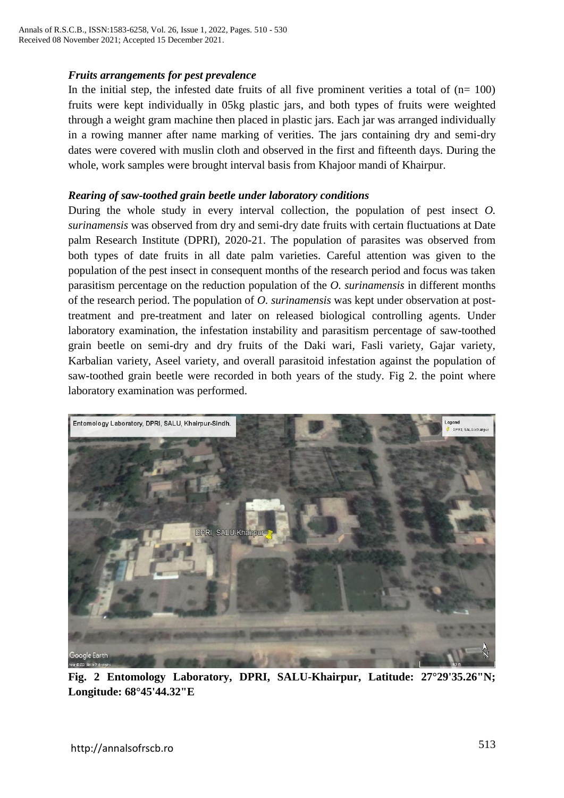# *Fruits arrangements for pest prevalence*

In the initial step, the infested date fruits of all five prominent verities a total of  $(n= 100)$ fruits were kept individually in 05kg plastic jars, and both types of fruits were weighted through a weight gram machine then placed in plastic jars. Each jar was arranged individually in a rowing manner after name marking of verities. The jars containing dry and semi-dry dates were covered with muslin cloth and observed in the first and fifteenth days. During the whole, work samples were brought interval basis from Khajoor mandi of Khairpur.

#### *Rearing of saw-toothed grain beetle under laboratory conditions*

During the whole study in every interval collection, the population of pest insect *O. surinamensis* was observed from dry and semi-dry date fruits with certain fluctuations at Date palm Research Institute (DPRI), 2020-21. The population of parasites was observed from both types of date fruits in all date palm varieties. Careful attention was given to the population of the pest insect in consequent months of the research period and focus was taken parasitism percentage on the reduction population of the *O. surinamensis* in different months of the research period. The population of *O. surinamensis* was kept under observation at posttreatment and pre-treatment and later on released biological controlling agents. Under laboratory examination, the infestation instability and parasitism percentage of saw-toothed grain beetle on semi-dry and dry fruits of the Daki wari, Fasli variety, Gajar variety, Karbalian variety, Aseel variety, and overall parasitoid infestation against the population of saw-toothed grain beetle were recorded in both years of the study. Fig 2. the point where laboratory examination was performed.



**Fig. 2 Entomology Laboratory, DPRI, SALU-Khairpur, Latitude: 27°29'35.26"N; Longitude: 68°45'44.32"E**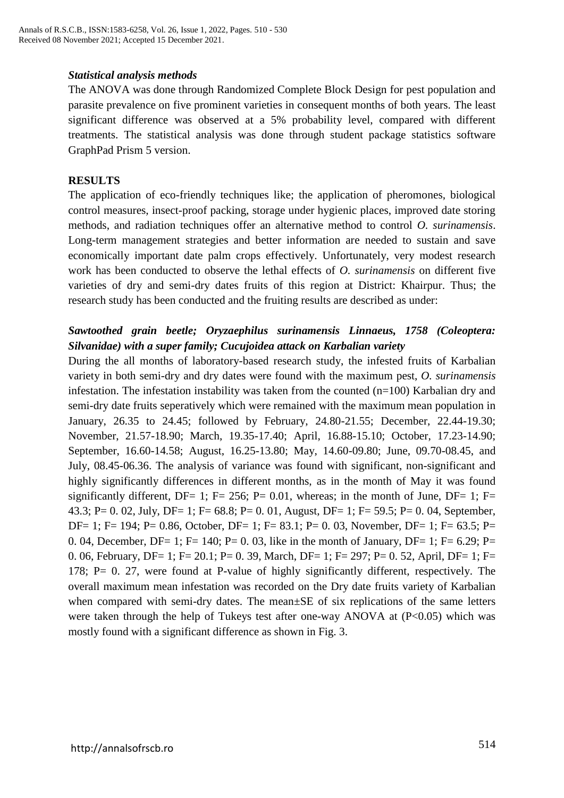#### *Statistical analysis methods*

The ANOVA was done through Randomized Complete Block Design for pest population and parasite prevalence on five prominent varieties in consequent months of both years. The least significant difference was observed at a 5% probability level, compared with different treatments. The statistical analysis was done through student package statistics software GraphPad Prism 5 version.

#### **RESULTS**

The application of eco-friendly techniques like; the application of pheromones, biological control measures, insect-proof packing, storage under hygienic places, improved date storing methods, and radiation techniques offer an alternative method to control *O. surinamensis*. Long-term management strategies and better information are needed to sustain and save economically important date palm crops effectively. Unfortunately, very modest research work has been conducted to observe the lethal effects of *O. surinamensis* on different five varieties of dry and semi-dry dates fruits of this region at District: Khairpur. Thus; the research study has been conducted and the fruiting results are described as under:

# *Sawtoothed grain beetle; Oryzaephilus surinamensis Linnaeus, 1758 (Coleoptera: Silvanidae) with a super family; Cucujoidea attack on Karbalian variety*

During the all months of laboratory-based research study, the infested fruits of Karbalian variety in both semi-dry and dry dates were found with the maximum pest, *O. surinamensis* infestation. The infestation instability was taken from the counted (n=100) Karbalian dry and semi-dry date fruits seperatively which were remained with the maximum mean population in January, 26.35 to 24.45; followed by February, 24.80-21.55; December, 22.44-19.30; November, 21.57-18.90; March, 19.35-17.40; April, 16.88-15.10; October, 17.23-14.90; September, 16.60-14.58; August, 16.25-13.80; May, 14.60-09.80; June, 09.70-08.45, and July, 08.45-06.36. The analysis of variance was found with significant, non-significant and highly significantly differences in different months, as in the month of May it was found significantly different, DF= 1; F= 256; P= 0.01, whereas; in the month of June, DF= 1; F= 43.3; P= 0. 02, July, DF= 1; F= 68.8; P= 0. 01, August, DF= 1; F= 59.5; P= 0. 04, September, DF= 1; F= 194; P= 0.86, October, DF= 1; F= 83.1; P= 0. 03, November, DF= 1; F= 63.5; P= 0. 04, December, DF= 1; F= 140; P= 0. 03, like in the month of January, DF= 1; F= 6.29; P= 0. 06, February, DF= 1; F= 20.1; P= 0. 39, March, DF= 1; F= 297; P= 0. 52, April, DF= 1; F= 178; P= 0. 27, were found at P-value of highly significantly different, respectively. The overall maximum mean infestation was recorded on the Dry date fruits variety of Karbalian when compared with semi-dry dates. The mean±SE of six replications of the same letters were taken through the help of Tukeys test after one-way ANOVA at (P<0.05) which was mostly found with a significant difference as shown in Fig. 3.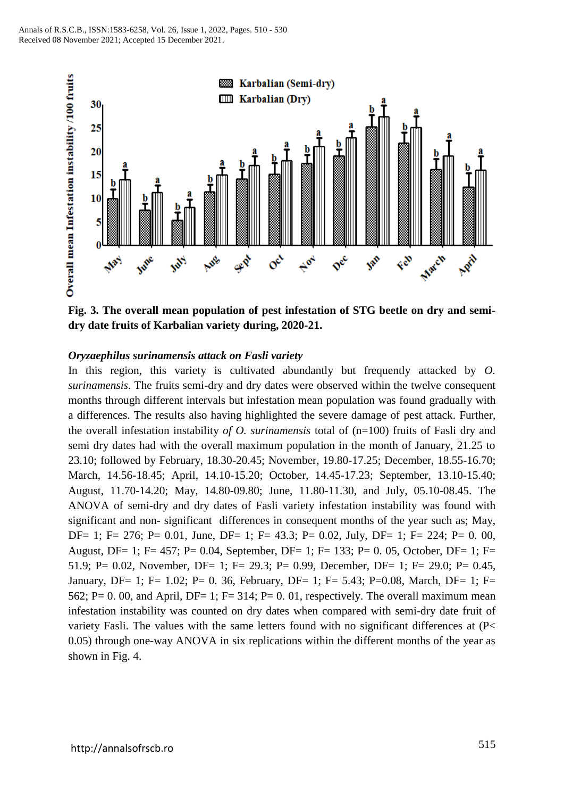

**Fig. 3. The overall mean population of pest infestation of STG beetle on dry and semidry date fruits of Karbalian variety during, 2020-21.**

#### *Oryzaephilus surinamensis attack on Fasli variety*

In this region, this variety is cultivated abundantly but frequently attacked by *O. surinamensis*. The fruits semi-dry and dry dates were observed within the twelve consequent months through different intervals but infestation mean population was found gradually with a differences. The results also having highlighted the severe damage of pest attack. Further, the overall infestation instability *of O. surinamensis* total of (n=100) fruits of Fasli dry and semi dry dates had with the overall maximum population in the month of January, 21.25 to 23.10; followed by February, 18.30-20.45; November, 19.80-17.25; December, 18.55-16.70; March, 14.56-18.45; April, 14.10-15.20; October, 14.45-17.23; September, 13.10-15.40; August, 11.70-14.20; May, 14.80-09.80; June, 11.80-11.30, and July, 05.10-08.45. The ANOVA of semi-dry and dry dates of Fasli variety infestation instability was found with significant and non- significant differences in consequent months of the year such as; May, DF= 1; F= 276; P= 0.01, June, DF= 1; F= 43.3; P= 0.02, July, DF= 1; F= 224; P= 0. 00, August, DF= 1; F= 457; P= 0.04, September, DF= 1; F= 133; P= 0. 05, October, DF= 1; F= 51.9; P= 0.02, November, DF= 1; F= 29.3; P= 0.99, December, DF= 1; F= 29.0; P= 0.45, January, DF= 1; F= 1.02; P= 0. 36, February, DF= 1; F= 5.43; P=0.08, March, DF= 1; F= 562; P= 0.00, and April, DF= 1; F= 314; P= 0.01, respectively. The overall maximum mean infestation instability was counted on dry dates when compared with semi-dry date fruit of variety Fasli. The values with the same letters found with no significant differences at (P< 0.05) through one-way ANOVA in six replications within the different months of the year as shown in Fig. 4.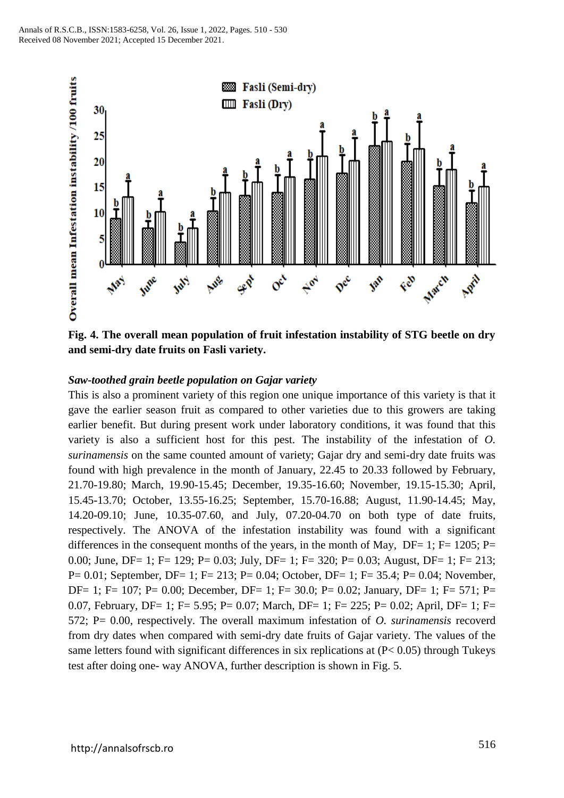

**Fig. 4. The overall mean population of fruit infestation instability of STG beetle on dry and semi-dry date fruits on Fasli variety.**

# *Saw-toothed grain beetle population on Gajar variety*

This is also a prominent variety of this region one unique importance of this variety is that it gave the earlier season fruit as compared to other varieties due to this growers are taking earlier benefit. But during present work under laboratory conditions, it was found that this variety is also a sufficient host for this pest. The instability of the infestation of *O. surinamensis* on the same counted amount of variety; Gajar dry and semi-dry date fruits was found with high prevalence in the month of January, 22.45 to 20.33 followed by February, 21.70-19.80; March, 19.90-15.45; December, 19.35-16.60; November, 19.15-15.30; April, 15.45-13.70; October, 13.55-16.25; September, 15.70-16.88; August, 11.90-14.45; May, 14.20-09.10; June, 10.35-07.60, and July, 07.20-04.70 on both type of date fruits, respectively. The ANOVA of the infestation instability was found with a significant differences in the consequent months of the years, in the month of May,  $DF= 1$ ;  $F= 1205$ ;  $P=$ 0.00; June, DF= 1; F= 129; P= 0.03; July, DF= 1; F= 320; P= 0.03; August, DF= 1; F= 213; P= 0.01; September, DF= 1; F= 213; P= 0.04; October, DF= 1; F= 35.4; P= 0.04; November, DF= 1; F= 107; P= 0.00; December, DF= 1; F= 30.0; P= 0.02; January, DF= 1; F= 571; P= 0.07, February, DF= 1; F= 5.95; P= 0.07; March, DF= 1; F= 225; P= 0.02; April, DF= 1; F= 572; P= 0.00, respectively. The overall maximum infestation of *O. surinamensis* recoverd from dry dates when compared with semi-dry date fruits of Gajar variety. The values of the same letters found with significant differences in six replications at (P< 0.05) through Tukeys test after doing one- way ANOVA, further description is shown in Fig. 5.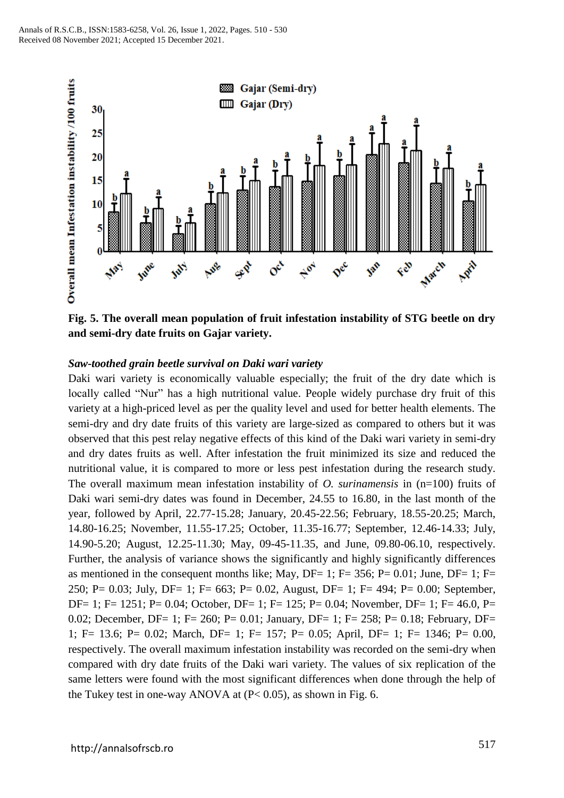

**Fig. 5. The overall mean population of fruit infestation instability of STG beetle on dry and semi-dry date fruits on Gajar variety.**

# *Saw-toothed grain beetle survival on Daki wari variety*

Daki wari variety is economically valuable especially; the fruit of the dry date which is locally called "Nur" has a high nutritional value. People widely purchase dry fruit of this variety at a high-priced level as per the quality level and used for better health elements. The semi-dry and dry date fruits of this variety are large-sized as compared to others but it was observed that this pest relay negative effects of this kind of the Daki wari variety in semi-dry and dry dates fruits as well. After infestation the fruit minimized its size and reduced the nutritional value, it is compared to more or less pest infestation during the research study. The overall maximum mean infestation instability of *O. surinamensis* in (n=100) fruits of Daki wari semi-dry dates was found in December, 24.55 to 16.80, in the last month of the year, followed by April, 22.77-15.28; January, 20.45-22.56; February, 18.55-20.25; March, 14.80-16.25; November, 11.55-17.25; October, 11.35-16.77; September, 12.46-14.33; July, 14.90-5.20; August, 12.25-11.30; May, 09-45-11.35, and June, 09.80-06.10, respectively. Further, the analysis of variance shows the significantly and highly significantly differences as mentioned in the consequent months like; May, DF= 1; F= 356; P=  $0.01$ ; June, DF= 1; F= 250; P= 0.03; July, DF= 1; F= 663; P= 0.02, August, DF= 1; F= 494; P= 0.00; September, DF= 1; F= 1251; P= 0.04; October, DF= 1; F= 125; P= 0.04; November, DF= 1; F= 46.0, P= 0.02; December, DF= 1; F= 260; P= 0.01; January, DF= 1; F= 258; P= 0.18; February, DF= 1; F= 13.6; P= 0.02; March, DF= 1; F= 157; P= 0.05; April, DF= 1; F= 1346; P= 0.00, respectively. The overall maximum infestation instability was recorded on the semi-dry when compared with dry date fruits of the Daki wari variety. The values of six replication of the same letters were found with the most significant differences when done through the help of the Tukey test in one-way ANOVA at (P< 0.05), as shown in Fig. 6.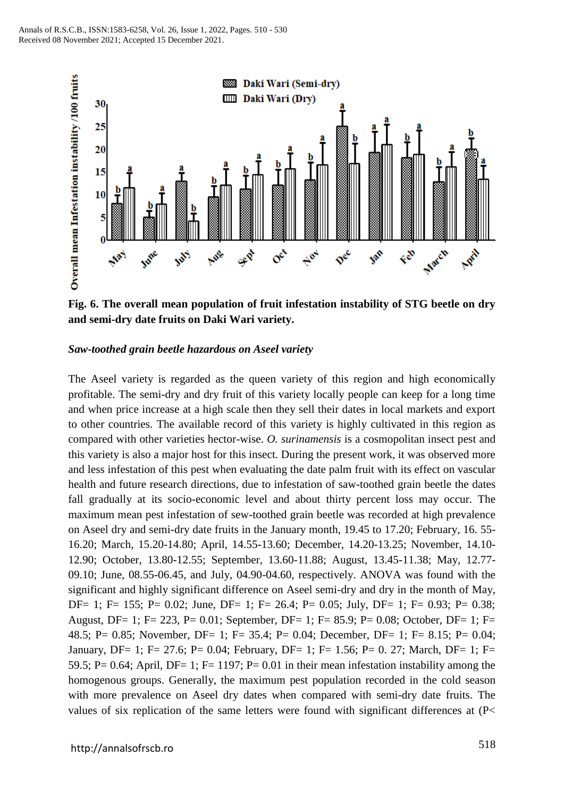

**Fig. 6. The overall mean population of fruit infestation instability of STG beetle on dry and semi-dry date fruits on Daki Wari variety.**

#### *Saw-toothed grain beetle hazardous on Aseel variety*

The Aseel variety is regarded as the queen variety of this region and high economically profitable. The semi-dry and dry fruit of this variety locally people can keep for a long time and when price increase at a high scale then they sell their dates in local markets and export to other countries. The available record of this variety is highly cultivated in this region as compared with other varieties hector-wise. *O. surinamensis* is a cosmopolitan insect pest and this variety is also a major host for this insect. During the present work, it was observed more and less infestation of this pest when evaluating the date palm fruit with its effect on vascular health and future research directions, due to infestation of saw-toothed grain beetle the dates fall gradually at its socio-economic level and about thirty percent loss may occur. The maximum mean pest infestation of sew-toothed grain beetle was recorded at high prevalence on Aseel dry and semi-dry date fruits in the January month, 19.45 to 17.20; February, 16. 55- 16.20; March, 15.20-14.80; April, 14.55-13.60; December, 14.20-13.25; November, 14.10- 12.90; October, 13.80-12.55; September, 13.60-11.88; August, 13.45-11.38; May, 12.77- 09.10; June, 08.55-06.45, and July, 04.90-04.60, respectively. ANOVA was found with the significant and highly significant difference on Aseel semi-dry and dry in the month of May, DF= 1; F= 155; P= 0.02; June, DF= 1; F= 26.4; P= 0.05; July, DF= 1; F= 0.93; P= 0.38; August, DF= 1; F= 223, P= 0.01; September, DF= 1; F= 85.9; P= 0.08; October, DF= 1; F= 48.5; P= 0.85; November, DF= 1; F= 35.4; P= 0.04; December, DF= 1; F= 8.15; P= 0.04; January, DF= 1; F= 27.6; P= 0.04; February, DF= 1; F= 1.56; P= 0. 27; March, DF= 1; F= 59.5; P= 0.64; April, DF= 1; F= 1197; P= 0.01 in their mean infestation instability among the homogenous groups. Generally, the maximum pest population recorded in the cold season with more prevalence on Aseel dry dates when compared with semi-dry date fruits. The values of six replication of the same letters were found with significant differences at (P<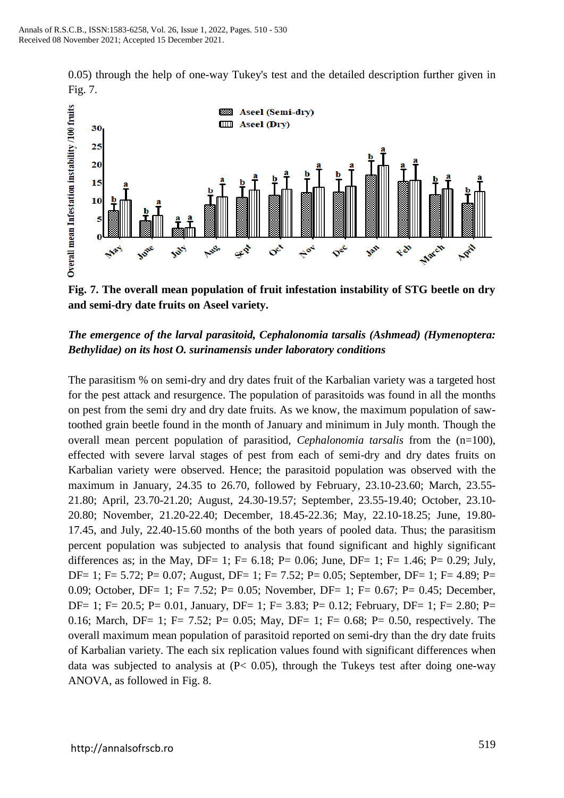0.05) through the help of one-way Tukey's test and the detailed description further given in Fig. 7.



**Fig. 7. The overall mean population of fruit infestation instability of STG beetle on dry and semi-dry date fruits on Aseel variety.**

# *The emergence of the larval parasitoid, Cephalonomia tarsalis (Ashmead) (Hymenoptera: Bethylidae) on its host O. surinamensis under laboratory conditions*

The parasitism % on semi-dry and dry dates fruit of the Karbalian variety was a targeted host for the pest attack and resurgence. The population of parasitoids was found in all the months on pest from the semi dry and dry date fruits. As we know, the maximum population of sawtoothed grain beetle found in the month of January and minimum in July month. Though the overall mean percent population of parasitiod, *Cephalonomia tarsalis* from the (n=100), effected with severe larval stages of pest from each of semi-dry and dry dates fruits on Karbalian variety were observed. Hence; the parasitoid population was observed with the maximum in January, 24.35 to 26.70, followed by February, 23.10-23.60; March, 23.55- 21.80; April, 23.70-21.20; August, 24.30-19.57; September, 23.55-19.40; October, 23.10- 20.80; November, 21.20-22.40; December, 18.45-22.36; May, 22.10-18.25; June, 19.80- 17.45, and July, 22.40-15.60 months of the both years of pooled data. Thus; the parasitism percent population was subjected to analysis that found significant and highly significant differences as; in the May, DF= 1; F= 6.18; P= 0.06; June, DF= 1; F= 1.46; P= 0.29; July, DF= 1; F= 5.72; P= 0.07; August, DF= 1; F= 7.52; P= 0.05; September, DF= 1; F= 4.89; P= 0.09; October, DF= 1; F= 7.52; P= 0.05; November, DF= 1; F= 0.67; P= 0.45; December, DF= 1; F= 20.5; P= 0.01, January, DF= 1; F= 3.83; P= 0.12; February, DF= 1; F= 2.80; P= 0.16; March, DF= 1; F= 7.52; P= 0.05; May, DF= 1; F= 0.68; P= 0.50, respectively. The overall maximum mean population of parasitoid reported on semi-dry than the dry date fruits of Karbalian variety. The each six replication values found with significant differences when data was subjected to analysis at  $(P< 0.05)$ , through the Tukeys test after doing one-way ANOVA, as followed in Fig. 8.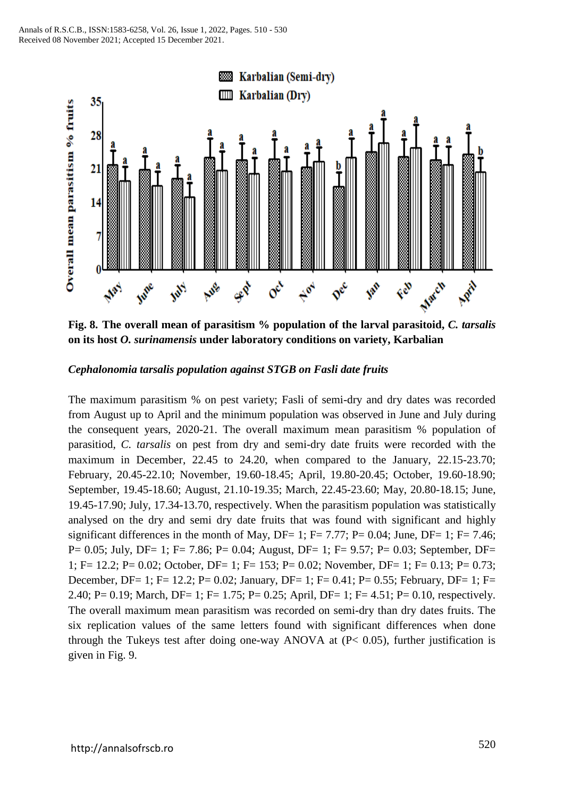

**Fig. 8. The overall mean of parasitism % population of the larval parasitoid,** *C. tarsalis* **on its host** *O. surinamensis* **under laboratory conditions on variety, Karbalian** 

# *Cephalonomia tarsalis population against STGB on Fasli date fruits*

The maximum parasitism % on pest variety; Fasli of semi-dry and dry dates was recorded from August up to April and the minimum population was observed in June and July during the consequent years, 2020-21. The overall maximum mean parasitism % population of parasitiod, *C. tarsalis* on pest from dry and semi-dry date fruits were recorded with the maximum in December, 22.45 to 24.20, when compared to the January, 22.15-23.70; February, 20.45-22.10; November, 19.60-18.45; April, 19.80-20.45; October, 19.60-18.90; September, 19.45-18.60; August, 21.10-19.35; March, 22.45-23.60; May, 20.80-18.15; June, 19.45-17.90; July, 17.34-13.70, respectively. When the parasitism population was statistically analysed on the dry and semi dry date fruits that was found with significant and highly significant differences in the month of May, DF= 1; F= 7.77; P= 0.04; June, DF= 1; F= 7.46; P= 0.05; July, DF= 1; F= 7.86; P= 0.04; August, DF= 1; F= 9.57; P= 0.03; September, DF= 1; F= 12.2; P= 0.02; October, DF= 1; F= 153; P= 0.02; November, DF= 1; F= 0.13; P= 0.73; December, DF= 1; F= 12.2; P= 0.02; January, DF= 1; F= 0.41; P= 0.55; February, DF= 1; F= 2.40; P= 0.19; March, DF= 1; F= 1.75; P= 0.25; April, DF= 1; F= 4.51; P= 0.10, respectively. The overall maximum mean parasitism was recorded on semi-dry than dry dates fruits. The six replication values of the same letters found with significant differences when done through the Tukeys test after doing one-way ANOVA at  $(P< 0.05)$ , further justification is given in Fig. 9.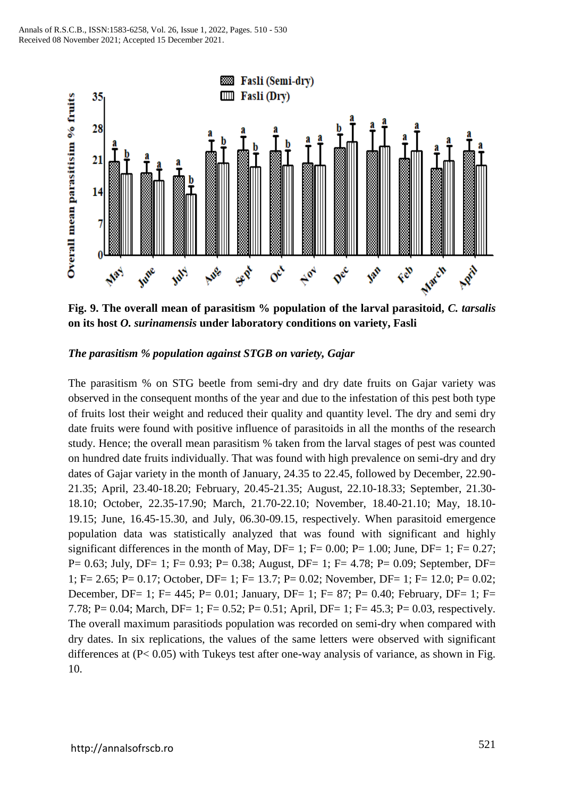

**Fig. 9. The overall mean of parasitism % population of the larval parasitoid,** *C. tarsalis* **on its host** *O. surinamensis* **under laboratory conditions on variety, Fasli**

#### *The parasitism % population against STGB on variety, Gajar*

The parasitism % on STG beetle from semi-dry and dry date fruits on Gajar variety was observed in the consequent months of the year and due to the infestation of this pest both type of fruits lost their weight and reduced their quality and quantity level. The dry and semi dry date fruits were found with positive influence of parasitoids in all the months of the research study. Hence; the overall mean parasitism % taken from the larval stages of pest was counted on hundred date fruits individually. That was found with high prevalence on semi-dry and dry dates of Gajar variety in the month of January, 24.35 to 22.45, followed by December, 22.90- 21.35; April, 23.40-18.20; February, 20.45-21.35; August, 22.10-18.33; September, 21.30- 18.10; October, 22.35-17.90; March, 21.70-22.10; November, 18.40-21.10; May, 18.10- 19.15; June, 16.45-15.30, and July, 06.30-09.15, respectively. When parasitoid emergence population data was statistically analyzed that was found with significant and highly significant differences in the month of May, DF= 1; F=  $0.00$ ; P=  $1.00$ ; June, DF= 1; F=  $0.27$ ; P= 0.63; July, DF= 1; F= 0.93; P= 0.38; August, DF= 1; F= 4.78; P= 0.09; September, DF= 1; F= 2.65; P= 0.17; October, DF= 1; F= 13.7; P= 0.02; November, DF= 1; F= 12.0; P= 0.02; December, DF= 1; F= 445; P= 0.01; January, DF= 1; F= 87; P= 0.40; February, DF= 1; F= 7.78; P= 0.04; March, DF= 1; F= 0.52; P= 0.51; April, DF= 1; F= 45.3; P= 0.03, respectively. The overall maximum parasitiods population was recorded on semi-dry when compared with dry dates. In six replications, the values of the same letters were observed with significant differences at  $(P< 0.05)$  with Tukeys test after one-way analysis of variance, as shown in Fig. 10.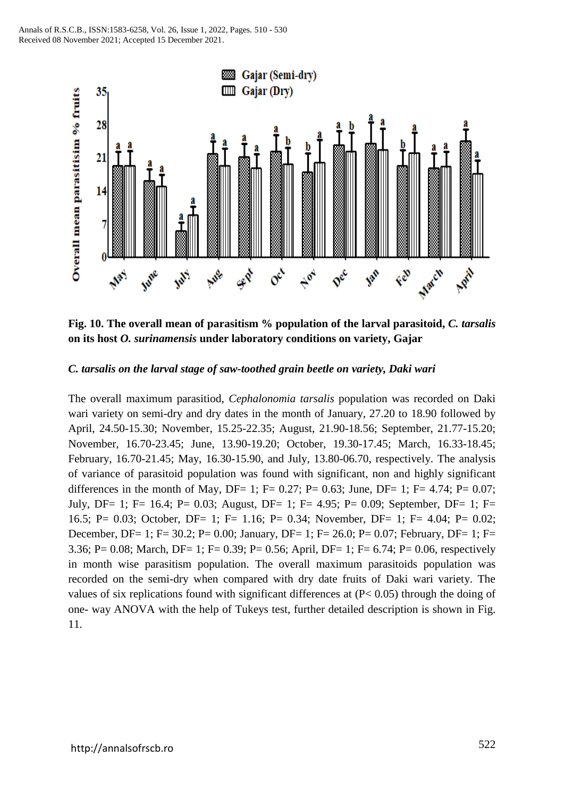

**Fig. 10. The overall mean of parasitism % population of the larval parasitoid,** *C. tarsalis* **on its host** *O. surinamensis* **under laboratory conditions on variety, Gajar**

#### *C. tarsalis on the larval stage of saw-toothed grain beetle on variety, Daki wari*

The overall maximum parasitiod, *Cephalonomia tarsalis* population was recorded on Daki wari variety on semi-dry and dry dates in the month of January, 27.20 to 18.90 followed by April, 24.50-15.30; November, 15.25-22.35; August, 21.90-18.56; September, 21.77-15.20; November, 16.70-23.45; June, 13.90-19.20; October, 19.30-17.45; March, 16.33-18.45; February, 16.70-21.45; May, 16.30-15.90, and July, 13.80-06.70, respectively. The analysis of variance of parasitoid population was found with significant, non and highly significant differences in the month of May, DF= 1; F= 0.27; P= 0.63; June, DF= 1; F= 4.74; P= 0.07; July, DF= 1; F= 16.4; P= 0.03; August, DF= 1; F= 4.95; P= 0.09; September, DF= 1; F= 16.5; P= 0.03; October, DF= 1; F= 1.16; P= 0.34; November, DF= 1; F= 4.04; P= 0.02; December, DF= 1; F= 30.2; P= 0.00; January, DF= 1; F= 26.0; P= 0.07; February, DF= 1; F= 3.36; P= 0.08; March, DF= 1; F= 0.39; P= 0.56; April, DF= 1; F= 6.74; P= 0.06, respectively in month wise parasitism population. The overall maximum parasitoids population was recorded on the semi-dry when compared with dry date fruits of Daki wari variety. The values of six replications found with significant differences at (P< 0.05) through the doing of one- way ANOVA with the help of Tukeys test, further detailed description is shown in Fig. 11.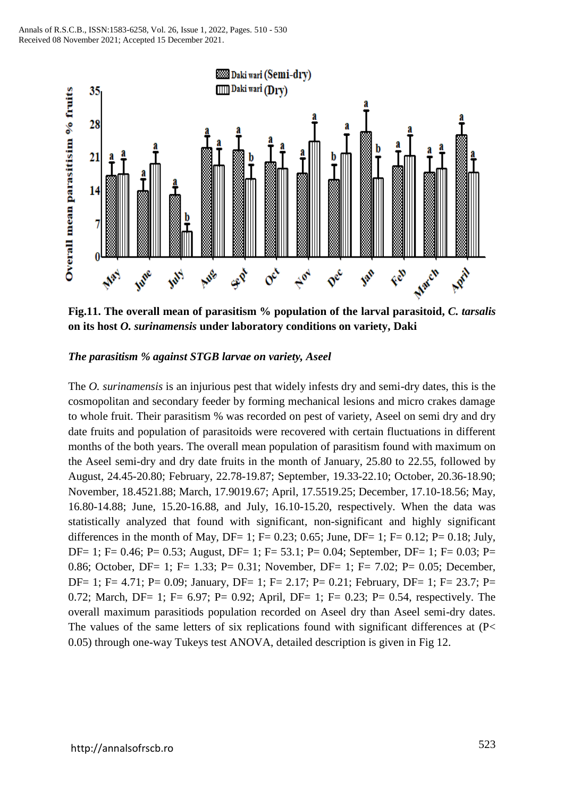

**Fig.11. The overall mean of parasitism % population of the larval parasitoid,** *C. tarsalis* **on its host** *O. surinamensis* **under laboratory conditions on variety, Daki** 

#### *The parasitism % against STGB larvae on variety, Aseel*

The *O. surinamensis* is an injurious pest that widely infests dry and semi-dry dates, this is the cosmopolitan and secondary feeder by forming mechanical lesions and micro crakes damage to whole fruit. Their parasitism % was recorded on pest of variety, Aseel on semi dry and dry date fruits and population of parasitoids were recovered with certain fluctuations in different months of the both years. The overall mean population of parasitism found with maximum on the Aseel semi-dry and dry date fruits in the month of January, 25.80 to 22.55, followed by August, 24.45-20.80; February, 22.78-19.87; September, 19.33-22.10; October, 20.36-18.90; November, 18.4521.88; March, 17.9019.67; April, 17.5519.25; December, 17.10-18.56; May, 16.80-14.88; June, 15.20-16.88, and July, 16.10-15.20, respectively. When the data was statistically analyzed that found with significant, non-significant and highly significant differences in the month of May, DF= 1; F= 0.23; 0.65; June, DF= 1; F= 0.12; P= 0.18; July, DF= 1; F= 0.46; P= 0.53; August, DF= 1; F= 53.1; P= 0.04; September, DF= 1; F= 0.03; P= 0.86; October, DF= 1; F= 1.33; P= 0.31; November, DF= 1; F= 7.02; P= 0.05; December, DF= 1; F= 4.71; P= 0.09; January, DF= 1; F= 2.17; P= 0.21; February, DF= 1; F= 23.7; P= 0.72; March, DF= 1; F= 6.97; P= 0.92; April, DF= 1; F= 0.23; P= 0.54, respectively. The overall maximum parasitiods population recorded on Aseel dry than Aseel semi-dry dates. The values of the same letters of six replications found with significant differences at (P< 0.05) through one-way Tukeys test ANOVA, detailed description is given in Fig 12.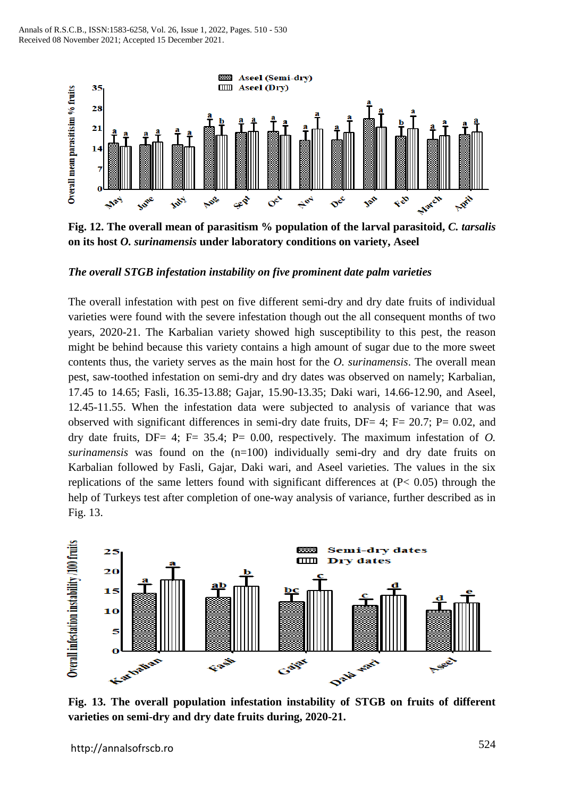

**Fig. 12. The overall mean of parasitism % population of the larval parasitoid,** *C. tarsalis* **on its host** *O. surinamensis* **under laboratory conditions on variety, Aseel**

#### *The overall STGB infestation instability on five prominent date palm varieties*

The overall infestation with pest on five different semi-dry and dry date fruits of individual varieties were found with the severe infestation though out the all consequent months of two years, 2020-21. The Karbalian variety showed high susceptibility to this pest, the reason might be behind because this variety contains a high amount of sugar due to the more sweet contents thus, the variety serves as the main host for the *O. surinamensis*. The overall mean pest, saw-toothed infestation on semi-dry and dry dates was observed on namely; Karbalian, 17.45 to 14.65; Fasli, 16.35-13.88; Gajar, 15.90-13.35; Daki wari, 14.66-12.90, and Aseel, 12.45-11.55. When the infestation data were subjected to analysis of variance that was observed with significant differences in semi-dry date fruits,  $DF = 4$ ;  $F = 20.7$ ;  $P = 0.02$ , and dry date fruits, DF= 4; F= 35.4; P= 0.00, respectively. The maximum infestation of *O. surinamensis* was found on the (n=100) individually semi-dry and dry date fruits on Karbalian followed by Fasli, Gajar, Daki wari, and Aseel varieties. The values in the six replications of the same letters found with significant differences at (P< 0.05) through the help of Turkeys test after completion of one-way analysis of variance, further described as in Fig. 13.



**Fig. 13. The overall population infestation instability of STGB on fruits of different varieties on semi-dry and dry date fruits during, 2020-21.**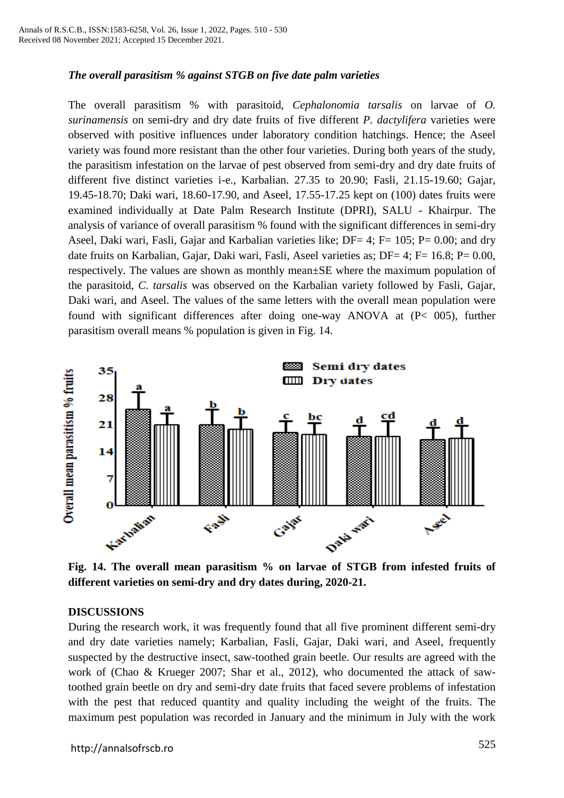# *The overall parasitism % against STGB on five date palm varieties*

The overall parasitism % with parasitoid, *Cephalonomia tarsalis* on larvae of *O. surinamensis* on semi-dry and dry date fruits of five different *P. dactylifera* varieties were observed with positive influences under laboratory condition hatchings. Hence; the Aseel variety was found more resistant than the other four varieties. During both years of the study, the parasitism infestation on the larvae of pest observed from semi-dry and dry date fruits of different five distinct varieties i-e., Karbalian. 27.35 to 20.90; Fasli, 21.15-19.60; Gajar, 19.45-18.70; Daki wari, 18.60-17.90, and Aseel, 17.55-17.25 kept on (100) dates fruits were examined individually at Date Palm Research Institute (DPRI), SALU - Khairpur. The analysis of variance of overall parasitism % found with the significant differences in semi-dry Aseel, Daki wari, Fasli, Gajar and Karbalian varieties like; DF= 4; F= 105; P= 0.00; and dry date fruits on Karbalian, Gajar, Daki wari, Fasli, Aseel varieties as; DF= 4; F= 16.8; P= 0.00, respectively. The values are shown as monthly mean±SE where the maximum population of the parasitoid, *C. tarsalis* was observed on the Karbalian variety followed by Fasli, Gajar, Daki wari, and Aseel. The values of the same letters with the overall mean population were found with significant differences after doing one-way ANOVA at (P< 005), further parasitism overall means % population is given in Fig. 14.



**Fig. 14. The overall mean parasitism % on larvae of STGB from infested fruits of different varieties on semi-dry and dry dates during, 2020-21.**

#### **DISCUSSIONS**

During the research work, it was frequently found that all five prominent different semi-dry and dry date varieties namely; Karbalian, Fasli, Gajar, Daki wari, and Aseel, frequently suspected by the destructive insect, saw-toothed grain beetle. Our results are agreed with the work of (Chao & Krueger 2007; Shar et al., 2012), who documented the attack of sawtoothed grain beetle on dry and semi-dry date fruits that faced severe problems of infestation with the pest that reduced quantity and quality including the weight of the fruits. The maximum pest population was recorded in January and the minimum in July with the work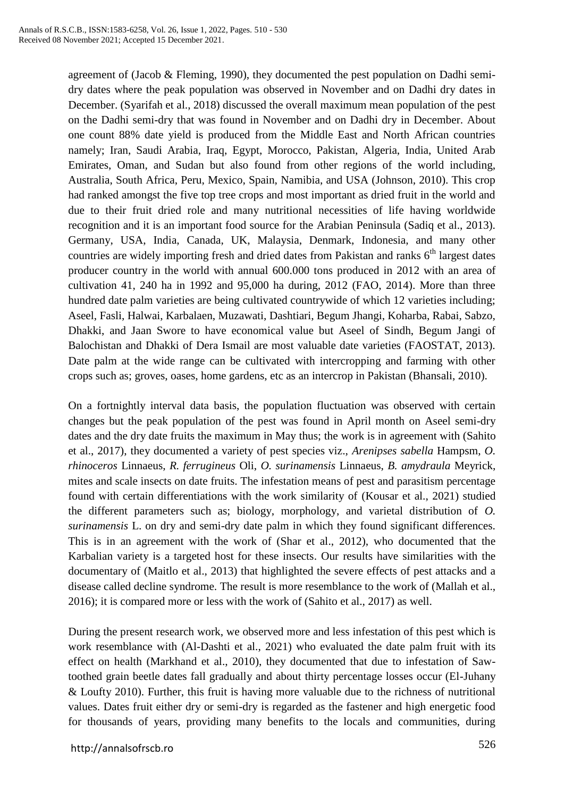agreement of (Jacob & Fleming, 1990), they documented the pest population on Dadhi semidry dates where the peak population was observed in November and on Dadhi dry dates in December. (Syarifah et al., 2018) discussed the overall maximum mean population of the pest on the Dadhi semi-dry that was found in November and on Dadhi dry in December. About one count 88% date yield is produced from the Middle East and North African countries namely; Iran, Saudi Arabia, Iraq, Egypt, Morocco, Pakistan, Algeria, India, United Arab Emirates, Oman, and Sudan but also found from other regions of the world including, Australia, South Africa, Peru, Mexico, Spain, Namibia, and USA (Johnson, 2010). This crop had ranked amongst the five top tree crops and most important as dried fruit in the world and due to their fruit dried role and many nutritional necessities of life having worldwide recognition and it is an important food source for the Arabian Peninsula (Sadiq et al., 2013). Germany, USA, India, Canada, UK, Malaysia, Denmark, Indonesia, and many other countries are widely importing fresh and dried dates from Pakistan and ranks 6<sup>th</sup> largest dates producer country in the world with annual 600.000 tons produced in 2012 with an area of cultivation 41, 240 ha in 1992 and 95,000 ha during, 2012 (FAO, 2014). More than three hundred date palm varieties are being cultivated countrywide of which 12 varieties including; Aseel, Fasli, Halwai, Karbalaen, Muzawati, Dashtiari, Begum Jhangi, Koharba, Rabai, Sabzo, Dhakki, and Jaan Swore to have economical value but Aseel of Sindh, Begum Jangi of Balochistan and Dhakki of Dera Ismail are most valuable date varieties (FAOSTAT, 2013). Date palm at the wide range can be cultivated with intercropping and farming with other crops such as; groves, oases, home gardens, etc as an intercrop in Pakistan (Bhansali, 2010).

On a fortnightly interval data basis, the population fluctuation was observed with certain changes but the peak population of the pest was found in April month on Aseel semi-dry dates and the dry date fruits the maximum in May thus; the work is in agreement with (Sahito et al., 2017), they documented a variety of pest species viz., *Arenipses sabella* Hampsm, *O. rhinoceros* Linnaeus, *R. ferrugineus* Oli, *O. surinamensis* Linnaeus, *B. amydraula* Meyrick, mites and scale insects on date fruits. The infestation means of pest and parasitism percentage found with certain differentiations with the work similarity of (Kousar et al., 2021) studied the different parameters such as; biology, morphology, and varietal distribution of *O. surinamensis* L. on dry and semi-dry date palm in which they found significant differences. This is in an agreement with the work of (Shar et al., 2012), who documented that the Karbalian variety is a targeted host for these insects. Our results have similarities with the documentary of (Maitlo et al., 2013) that highlighted the severe effects of pest attacks and a disease called decline syndrome. The result is more resemblance to the work of (Mallah et al., 2016); it is compared more or less with the work of (Sahito et al., 2017) as well.

During the present research work, we observed more and less infestation of this pest which is work resemblance with (Al-Dashti et al., 2021) who evaluated the date palm fruit with its effect on health (Markhand et al., 2010), they documented that due to infestation of Sawtoothed grain beetle dates fall gradually and about thirty percentage losses occur (El-Juhany & Loufty 2010). Further, this fruit is having more valuable due to the richness of nutritional values. Dates fruit either dry or semi-dry is regarded as the fastener and high energetic food for thousands of years, providing many benefits to the locals and communities, during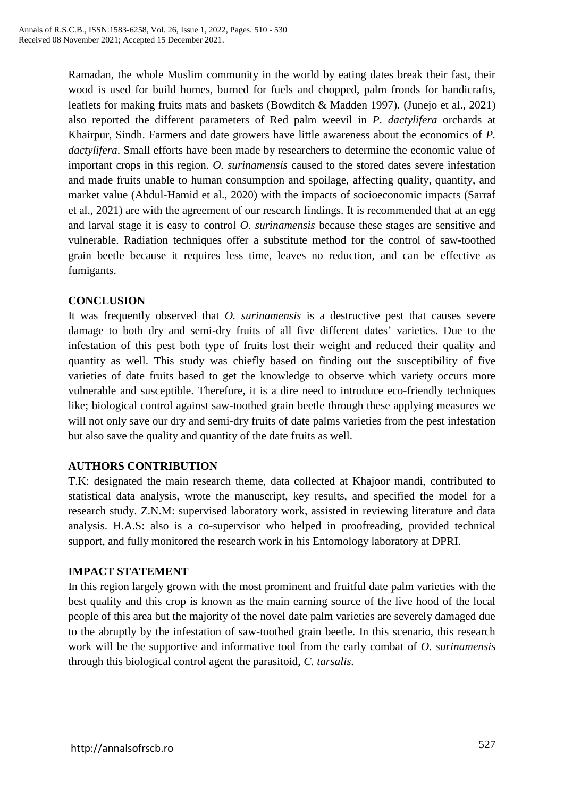Ramadan, the whole Muslim community in the world by eating dates break their fast, their wood is used for build homes, burned for fuels and chopped, palm fronds for handicrafts, leaflets for making fruits mats and baskets (Bowditch & Madden 1997). (Junejo et al., 2021) also reported the different parameters of Red palm weevil in *P. dactylifera* orchards at Khairpur, Sindh. Farmers and date growers have little awareness about the economics of *P. dactylifera*. Small efforts have been made by researchers to determine the economic value of important crops in this region. *O. surinamensis* caused to the stored dates severe infestation and made fruits unable to human consumption and spoilage, affecting quality, quantity, and market value (Abdul-Hamid et al., 2020) with the impacts of socioeconomic impacts (Sarraf et al., 2021) are with the agreement of our research findings. It is recommended that at an egg and larval stage it is easy to control *O. surinamensis* because these stages are sensitive and vulnerable. Radiation techniques offer a substitute method for the control of saw-toothed grain beetle because it requires less time, leaves no reduction, and can be effective as fumigants.

# **CONCLUSION**

It was frequently observed that *O. surinamensis* is a destructive pest that causes severe damage to both dry and semi-dry fruits of all five different dates' varieties. Due to the infestation of this pest both type of fruits lost their weight and reduced their quality and quantity as well. This study was chiefly based on finding out the susceptibility of five varieties of date fruits based to get the knowledge to observe which variety occurs more vulnerable and susceptible. Therefore, it is a dire need to introduce eco-friendly techniques like; biological control against saw-toothed grain beetle through these applying measures we will not only save our dry and semi-dry fruits of date palms varieties from the pest infestation but also save the quality and quantity of the date fruits as well.

#### **AUTHORS CONTRIBUTION**

T.K: designated the main research theme, data collected at Khajoor mandi, contributed to statistical data analysis, wrote the manuscript, key results, and specified the model for a research study. Z.N.M: supervised laboratory work, assisted in reviewing literature and data analysis. H.A.S: also is a co-supervisor who helped in proofreading, provided technical support, and fully monitored the research work in his Entomology laboratory at DPRI.

#### **IMPACT STATEMENT**

In this region largely grown with the most prominent and fruitful date palm varieties with the best quality and this crop is known as the main earning source of the live hood of the local people of this area but the majority of the novel date palm varieties are severely damaged due to the abruptly by the infestation of saw-toothed grain beetle. In this scenario, this research work will be the supportive and informative tool from the early combat of *O. surinamensis* through this biological control agent the parasitoid, *C. tarsalis.*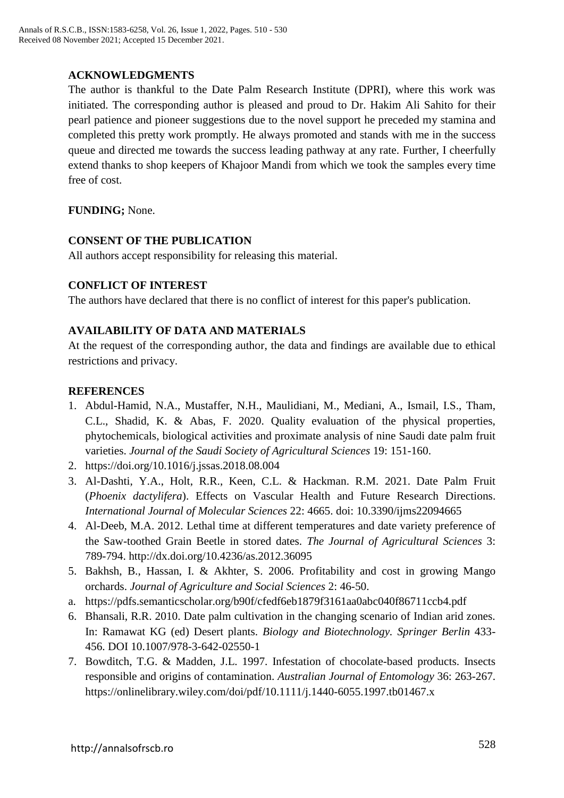# **ACKNOWLEDGMENTS**

The author is thankful to the Date Palm Research Institute (DPRI), where this work was initiated. The corresponding author is pleased and proud to Dr. Hakim Ali Sahito for their pearl patience and pioneer suggestions due to the novel support he preceded my stamina and completed this pretty work promptly. He always promoted and stands with me in the success queue and directed me towards the success leading pathway at any rate. Further, I cheerfully extend thanks to shop keepers of Khajoor Mandi from which we took the samples every time free of cost.

**FUNDING;** None.

#### **CONSENT OF THE PUBLICATION**

All authors accept responsibility for releasing this material.

# **CONFLICT OF INTEREST**

The authors have declared that there is no conflict of interest for this paper's publication.

# **AVAILABILITY OF DATA AND MATERIALS**

At the request of the corresponding author, the data and findings are available due to ethical restrictions and privacy.

# **REFERENCES**

- 1. Abdul-Hamid, N.A., Mustaffer, N.H., Maulidiani, M., Mediani, A., Ismail, I.S., Tham, C.L., Shadid, K. & Abas, F. 2020. Quality evaluation of the physical properties, phytochemicals, biological activities and proximate analysis of nine Saudi date palm fruit varieties. *Journal of the Saudi Society of Agricultural Sciences* 19: 151-160.
- 2. <https://doi.org/10.1016/j.jssas.2018.08.004>
- 3. Al-Dashti, Y.A., Holt, R.R., Keen, C.L. & Hackman. R.M. 2021. Date Palm Fruit (*Phoenix dactylifera*). Effects on Vascular Health and Future Research Directions. *International Journal of Molecular Sciences* 22: 4665. doi: 10.3390/ijms22094665
- 4. Al-Deeb, M.A. 2012. Lethal time at different temperatures and date variety preference of the Saw-toothed Grain Beetle in stored dates. *The Journal of Agricultural Sciences* 3: 789-794. http://dx.doi.org/10.4236/as.2012.36095
- 5. Bakhsh, B., Hassan, I. & Akhter, S. 2006. Profitability and cost in growing Mango orchards. *Journal of Agriculture and Social Sciences* 2: 46-50.
- a. https://pdfs.semanticscholar.org/b90f/cfedf6eb1879f3161aa0abc040f86711ccb4.pdf
- 6. Bhansali, R.R. 2010. Date palm cultivation in the changing scenario of Indian arid zones. In: Ramawat KG (ed) Desert plants. *Biology and Biotechnology. Springer Berlin* 433- 456. DOI 10.1007/978-3-642-02550-1
- 7. Bowditch, T.G. & Madden, J.L. 1997. Infestation of chocolate-based products. Insects responsible and origins of contamination. *Australian Journal of Entomology* 36: 263-267. <https://onlinelibrary.wiley.com/doi/pdf/10.1111/j.1440-6055.1997.tb01467.x>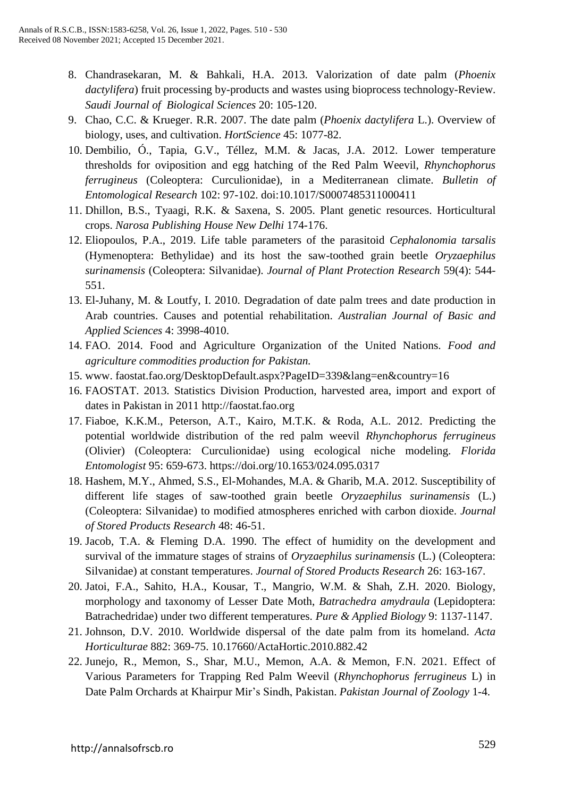- 8. Chandrasekaran, M. & Bahkali, H.A. 2013. Valorization of date palm (*Phoenix dactylifera*) fruit processing by-products and wastes using bioprocess technology-Review. *Saudi Journal of Biological Sciences* 20: 105-120.
- 9. Chao, C.C. & Krueger. R.R. 2007. The date palm (*Phoenix dactylifera* L.). Overview of biology, uses, and cultivation. *HortScience* 45: 1077-82.
- 10. Dembilio, Ó., Tapia, G.V., Téllez, M.M. & Jacas, J.A. 2012. Lower temperature thresholds for oviposition and egg hatching of the Red Palm Weevil, *Rhynchophorus ferrugineus* (Coleoptera: Curculionidae), in a Mediterranean climate. *Bulletin of Entomological Research* 102: 97-102. doi:10.1017/S0007485311000411
- 11. Dhillon, B.S., Tyaagi, R.K. & Saxena, S. 2005. Plant genetic resources. Horticultural crops. *Narosa Publishing House New Delhi* 174-176.
- 12. Eliopoulos, P.A., 2019. Life table parameters of the parasitoid *Cephalonomia tarsalis* (Hymenoptera: Bethylidae) and its host the saw-toothed grain beetle *Oryzaephilus surinamensis* (Coleoptera: Silvanidae). *Journal of Plant Protection Research* 59(4): 544- 551.
- 13. El-Juhany, M. & Loutfy, I. 2010. Degradation of date palm trees and date production in Arab countries. Causes and potential rehabilitation. *Australian Journal of Basic and Applied Sciences* 4: 3998-4010.
- 14. FAO. 2014. Food and Agriculture Organization of the United Nations. *Food and agriculture commodities production for Pakistan.*
- 15. www. faostat.fao.org/DesktopDefault.aspx?PageID=339&lang=en&country=16
- 16. FAOSTAT. 2013. Statistics Division Production, harvested area, import and export of dates in Pakistan in 2011 [http://faostat.fao.org](http://faostat.fao.org/)
- 17. Fiaboe, K.K.M., Peterson, A.T., Kairo, M.T.K. & Roda, A.L. 2012. Predicting the potential worldwide distribution of the red palm weevil *Rhynchophorus ferrugineus*  (Olivier) (Coleoptera: Curculionidae) using ecological niche modeling. *Florida Entomologist* 95: 659-673. <https://doi.org/10.1653/024.095.0317>
- 18. Hashem, M.Y., Ahmed, S.S., El-Mohandes, M.A. & Gharib, M.A. 2012. Susceptibility of different life stages of saw-toothed grain beetle *Oryzaephilus surinamensis* (L.) (Coleoptera: Silvanidae) to modified atmospheres enriched with carbon dioxide. *Journal of Stored Products Research* 48: 46-51.
- 19. Jacob, T.A. & Fleming D.A. 1990. The effect of humidity on the development and survival of the immature stages of strains of *Oryzaephilus surinamensis* (L.) (Coleoptera: Silvanidae) at constant temperatures. *Journal of Stored Products Research* 26: 163-167.
- 20. Jatoi, F.A., Sahito, H.A., Kousar, T., Mangrio, W.M. & Shah, Z.H. 2020. Biology, morphology and taxonomy of Lesser Date Moth, *Batrachedra amydraula* (Lepidoptera: Batrachedridae) under two different temperatures. *Pure & Applied Biology* 9: 1137-1147.
- 21. Johnson, D.V. 2010. Worldwide dispersal of the date palm from its homeland. *Acta Horticulturae* 882: 369-75. 10.17660/ActaHortic.2010.882.42
- 22. Junejo, R., Memon, S., Shar, M.U., Memon, A.A. & Memon, F.N. 2021. Effect of Various Parameters for Trapping Red Palm Weevil (*Rhynchophorus ferrugineus* L) in Date Palm Orchards at Khairpur Mir's Sindh, Pakistan. *Pakistan Journal of Zoology* 1-4.